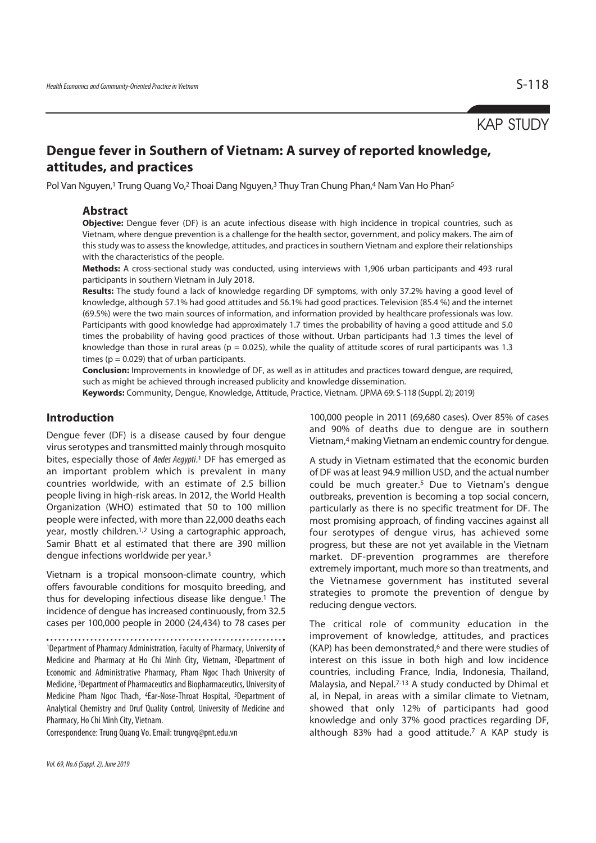# KAP STUDY

# **Dengue fever in Southern of Vietnam: A survey of reported knowledge, attitudes, and practices**

Pol Van Nguyen,<sup>1</sup> Trung Quang Vo,<sup>2</sup> Thoai Dang Nguyen,<sup>3</sup> Thuy Tran Chung Phan,<sup>4</sup> Nam Van Ho Phan<sup>5</sup>

### **Abstract**

**Objective:** Dengue fever (DF) is an acute infectious disease with high incidence in tropical countries, such as Vietnam, where dengue prevention is a challenge for the health sector, government, and policy makers. The aim of this study was to assess the knowledge, attitudes, and practices in southern Vietnam and explore their relationships with the characteristics of the people.

**Methods:** A cross-sectional study was conducted, using interviews with 1,906 urban participants and 493 rural participants in southern Vietnam in July 2018.

**Results:** The study found a lack of knowledge regarding DF symptoms, with only 37.2% having a good level of knowledge, although 57.1% had good attitudes and 56.1% had good practices. Television (85.4 %) and the internet (69.5%) were the two main sources of information, and information provided by healthcare professionals was low. Participants with good knowledge had approximately 1.7 times the probability of having a good attitude and 5.0 times the probability of having good practices of those without. Urban participants had 1.3 times the level of knowledge than those in rural areas ( $p = 0.025$ ), while the quality of attitude scores of rural participants was 1.3 times ( $p = 0.029$ ) that of urban participants.

**Conclusion:** Improvements in knowledge of DF, as well as in attitudes and practices toward dengue, are required, such as might be achieved through increased publicity and knowledge dissemination.

**Keywords:** Community, Dengue, Knowledge, Attitude, Practice, Vietnam. (JPMA 69: S-118 (Suppl. 2); 2019)

## **Introduction**

Dengue fever (DF) is a disease caused by four dengue virus serotypes and transmitted mainly through mosquito bites, especially those of Aedes Aegypti.<sup>1</sup> DF has emerged as an important problem which is prevalent in many countries worldwide, with an estimate of 2.5 billion people living in high-risk areas. In 2012, the World Health Organization (WHO) estimated that 50 to 100 million people were infected, with more than 22,000 deaths each year, mostly children.1,2 Using a cartographic approach, Samir Bhatt et al estimated that there are 390 million dengue infections worldwide per year.3

Vietnam is a tropical monsoon-climate country, which offers favourable conditions for mosquito breeding, and thus for developing infectious disease like dengue.1 The incidence of dengue has increased continuously, from 32.5 cases per 100,000 people in 2000 (24,434) to 78 cases per

1Department of Pharmacy Administration, Faculty of Pharmacy, University of Medicine and Pharmacy at Ho Chi Minh City, Vietnam, 2Department of Economic and Administrative Pharmacy, Pham Ngoc Thach University of Medicine, 3Department of Pharmaceutics and Biopharmaceutics, University of Medicine Pham Ngoc Thach, 4Ear-Nose-Throat Hospital, 5Department of Analytical Chemistry and Druf Quality Control, University of Medicine and Pharmacy, Ho Chi Minh City, Vietnam.

Correspondence: Trung Quang Vo. Email: trungvq@pnt.edu.vn

100,000 people in 2011 (69,680 cases). Over 85% of cases and 90% of deaths due to dengue are in southern Vietnam,4 making Vietnam an endemic country for dengue.

A study in Vietnam estimated that the economic burden of DF was at least 94.9 million USD, and the actual number could be much greater.5 Due to Vietnam's dengue outbreaks, prevention is becoming a top social concern, particularly as there is no specific treatment for DF. The most promising approach, of finding vaccines against all four serotypes of dengue virus, has achieved some progress, but these are not yet available in the Vietnam market. DF-prevention programmes are therefore extremely important, much more so than treatments, and the Vietnamese government has instituted several strategies to promote the prevention of dengue by reducing dengue vectors.

The critical role of community education in the improvement of knowledge, attitudes, and practices (KAP) has been demonstrated, $6$  and there were studies of interest on this issue in both high and low incidence countries, including France, India, Indonesia, Thailand, Malaysia, and Nepal.7-13 A study conducted by Dhimal et al, in Nepal, in areas with a similar climate to Vietnam, showed that only 12% of participants had good knowledge and only 37% good practices regarding DF, although 83% had a good attitude.7 A KAP study is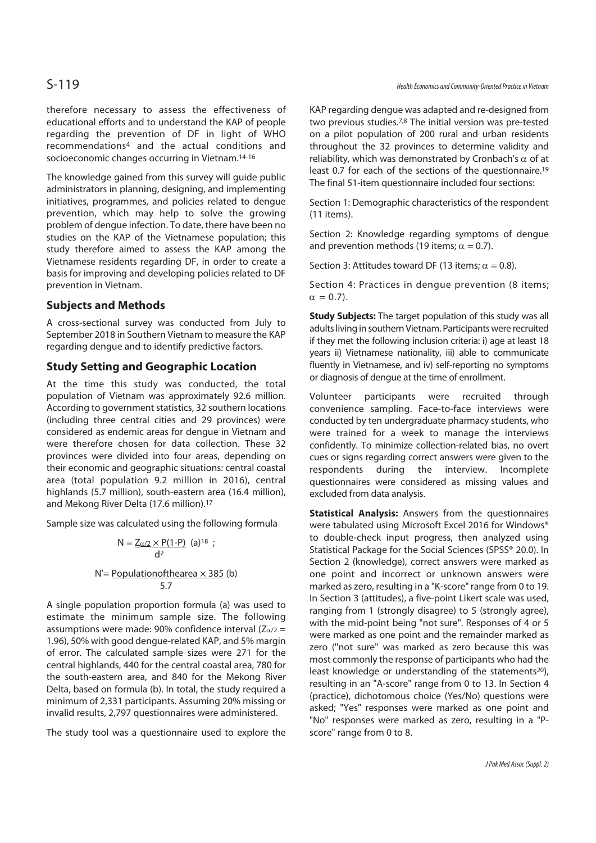therefore necessary to assess the effectiveness of educational efforts and to understand the KAP of people regarding the prevention of DF in light of WHO recommendations4 and the actual conditions and socioeconomic changes occurring in Vietnam.14-16

The knowledge gained from this survey will guide public administrators in planning, designing, and implementing initiatives, programmes, and policies related to dengue prevention, which may help to solve the growing problem of dengue infection. To date, there have been no studies on the KAP of the Vietnamese population; this study therefore aimed to assess the KAP among the Vietnamese residents regarding DF, in order to create a basis for improving and developing policies related to DF prevention in Vietnam.

## **Subjects and Methods**

A cross-sectional survey was conducted from July to September 2018 in Southern Vietnam to measure the KAP regarding dengue and to identify predictive factors.

# **Study Setting and Geographic Location**

At the time this study was conducted, the total population of Vietnam was approximately 92.6 million. According to government statistics, 32 southern locations (including three central cities and 29 provinces) were considered as endemic areas for dengue in Vietnam and were therefore chosen for data collection. These 32 provinces were divided into four areas, depending on their economic and geographic situations: central coastal area (total population 9.2 million in 2016), central highlands (5.7 million), south-eastern area (16.4 million), and Mekong River Delta (17.6 million).17

Sample size was calculated using the following formula

$$
N = \frac{Z_{\alpha/2} \times P(1-P)}{d^2}
$$
 (a)<sup>18</sup> ;  
 N' = Populationofthearea × 385 (b)  
5.7

A single population proportion formula (a) was used to estimate the minimum sample size. The following assumptions were made: 90% confidence interval ( $Z_{\alpha/2}$  = 1.96), 50% with good dengue-related KAP, and 5% margin of error. The calculated sample sizes were 271 for the central highlands, 440 for the central coastal area, 780 for the south-eastern area, and 840 for the Mekong River Delta, based on formula (b). In total, the study required a minimum of 2,331 participants. Assuming 20% missing or invalid results, 2,797 questionnaires were administered.

The study tool was a questionnaire used to explore the

KAP regarding dengue was adapted and re-designed from two previous studies.7,8 The initial version was pre-tested on a pilot population of 200 rural and urban residents throughout the 32 provinces to determine validity and reliability, which was demonstrated by Cronbach's  $\alpha$  of at least 0.7 for each of the sections of the questionnaire.19 The final 51-item questionnaire included four sections:

Section 1: Demographic characteristics of the respondent (11 items).

Section 2: Knowledge regarding symptoms of dengue and prevention methods (19 items;  $\alpha = 0.7$ ).

Section 3: Attitudes toward DF (13 items;  $\alpha = 0.8$ ).

Section 4: Practices in dengue prevention (8 items;  $\alpha = 0.7$ ).

**Study Subjects:** The target population of this study was all adults living in southern Vietnam. Participants were recruited if they met the following inclusion criteria: i) age at least 18 years ii) Vietnamese nationality, iii) able to communicate fluently in Vietnamese, and iv) self-reporting no symptoms or diagnosis of dengue at the time of enrollment.

Volunteer participants were recruited through convenience sampling. Face-to-face interviews were conducted by ten undergraduate pharmacy students, who were trained for a week to manage the interviews confidently. To minimize collection-related bias, no overt cues or signs regarding correct answers were given to the respondents during the interview. Incomplete questionnaires were considered as missing values and excluded from data analysis.

**Statistical Analysis:** Answers from the questionnaires were tabulated using Microsoft Excel 2016 for Windows® to double-check input progress, then analyzed using Statistical Package for the Social Sciences (SPSS® 20.0). In Section 2 (knowledge), correct answers were marked as one point and incorrect or unknown answers were marked as zero, resulting in a "K-score" range from 0 to 19. In Section 3 (attitudes), a five-point Likert scale was used, ranging from 1 (strongly disagree) to 5 (strongly agree), with the mid-point being "not sure". Responses of 4 or 5 were marked as one point and the remainder marked as zero (''not sure'' was marked as zero because this was most commonly the response of participants who had the least knowledge or understanding of the statements<sup>20</sup>), resulting in an "A-score" range from 0 to 13. In Section 4 (practice), dichotomous choice (Yes/No) questions were asked; "Yes" responses were marked as one point and "No" responses were marked as zero, resulting in a "Pscore" range from 0 to 8.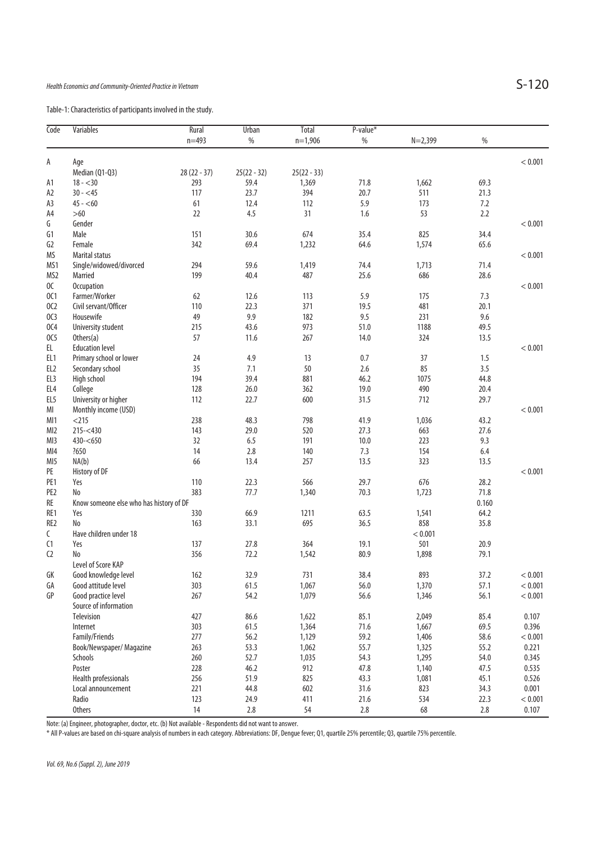Table-1: Characteristics of participants involved in the study.

| Code            | <b>Variables</b>                        | Rural         | Urban         | <b>Total</b>  | $P-value*$ |             |         |         |
|-----------------|-----------------------------------------|---------------|---------------|---------------|------------|-------------|---------|---------|
|                 |                                         | $n = 493$     | $\%$          | $n=1,906$     | $\%$       | $N = 2,399$ | %       |         |
|                 |                                         |               |               |               |            |             |         |         |
| А               | Age                                     |               |               |               |            |             |         | < 0.001 |
|                 | Median (Q1-Q3)                          | $28(22 - 37)$ | $25(22 - 32)$ | $25(22 - 33)$ |            |             |         |         |
| Α1              | $18 - 30$                               | 293           | 59.4          | 1,369         | 71.8       | 1,662       | 69.3    |         |
| A2              | $30 - 45$                               | 117           | 23.7          | 394           | 20.7       | 511         | 21.3    |         |
| A3              | $45 - 60$                               | 61            | 12.4          | 112           | 5.9        | 173         | 7.2     |         |
| A4              | $>60$                                   | 22            | 4.5           | 31            | 1.6        | 53          | 2.2     |         |
| G               | Gender                                  |               |               |               |            |             |         | < 0.001 |
| G1              | Male                                    | 151           | 30.6          | 674           | 35.4       | 825         | 34.4    |         |
| G2              | Female                                  | 342           | 69.4          | 1,232         | 64.6       | 1,574       | 65.6    |         |
| ΜS              | Marital status                          |               |               |               |            |             |         | < 0.001 |
| MS1             | Single/widowed/divorced                 | 294           | 59.6          | 1,419         | 74.4       | 1,713       | 71.4    |         |
| MS2             | Married                                 | 199           | 40.4          | 487           | 25.6       | 686         | 28.6    |         |
| OC              | <b>Occupation</b>                       |               |               |               |            |             |         | < 0.001 |
| 0C1             | Farmer/Worker                           | 62            | 12.6          | 113           | 5.9        | 175         | 7.3     |         |
| 0C2             | Civil servant/Officer                   | 110           | 22.3          | 371           | 19.5       | 481         | 20.1    |         |
| OC3             | Housewife                               | 49            | 9.9           | 182           | 9.5        | 231         | 9.6     |         |
| 0C4             | University student                      | 215           | 43.6          | 973           | 51.0       | 1188        | 49.5    |         |
| 0C <sub>5</sub> | $0$ thers $(a)$                         | 57            | 11.6          | 267           | 14.0       | 324         | 13.5    |         |
| EL              | <b>Education level</b>                  |               |               |               |            |             |         | < 0.001 |
| EL <sub>1</sub> | Primary school or lower                 | 24            | 4.9           | 13            | 0.7        | 37          | 1.5     |         |
| EL <sub>2</sub> | Secondary school                        | 35            | 7.1           | 50            | 2.6        | 85          | 3.5     |         |
| EL <sub>3</sub> | High school                             | 194           | 39.4          | 881           | 46.2       | 1075        | 44.8    |         |
| EL <sub>4</sub> | College                                 | 128           | 26.0          | 362           | 19.0       | 490         | 20.4    |         |
| EL <sub>5</sub> | University or higher                    | 112           | 22.7          | 600           | 31.5       | 712         | 29.7    |         |
| MI              | Monthly income (USD)                    |               |               |               |            |             |         | < 0.001 |
| MI1             | $<$ 215                                 | 238           | 48.3          | 798           | 41.9       | 1,036       | 43.2    |         |
| MI2             | $215 - 430$                             | 143           | 29.0          | 520           | 27.3       | 663         | 27.6    |         |
| MI3             | $430 - 650$                             | 32            | 6.5           | 191           | 10.0       | 223         | 9.3     |         |
| MI4             | ?650                                    | 14            | 2.8           | 140           | 7.3        | 154         | 6.4     |         |
| MI <sub>5</sub> | NA(b)                                   | 66            | 13.4          | 257           | 13.5       | 323         | 13.5    |         |
| PE              | History of DF                           |               |               |               |            |             |         | < 0.001 |
| PE <sub>1</sub> | Yes                                     | 110           | 22.3          | 566           | 29.7       | 676         | 28.2    |         |
| PE <sub>2</sub> | No                                      | 383           | 77.7          | 1,340         | 70.3       | 1,723       | 71.8    |         |
| RE              | Know someone else who has history of DF |               |               |               |            |             | 0.160   |         |
| RE1             | Yes                                     | 330           | 66.9          | 1211          | 63.5       | 1,541       | 64.2    |         |
| RE <sub>2</sub> | No                                      | 163           | 33.1          | 695           | 36.5       | 858         | 35.8    |         |
| C               | Have children under 18                  |               |               |               |            | < 0.001     |         |         |
| C1              | Yes                                     | 137           | 27.8          | 364           | 19.1       | 501         | 20.9    |         |
| C <sub>2</sub>  | No                                      | 356           | 72.2          | 1,542         | 80.9       | 1,898       | 79.1    |         |
|                 | Level of Score KAP                      |               |               |               |            |             |         |         |
| GK              | Good knowledge level                    | 162           | 32.9          | 731           | 38.4       | 893         | 37.2    | < 0.001 |
| GА              | Good attitude level                     | 303           | 61.5          | 1,067         | 56.0       | 1,370       | 57.1    | < 0.001 |
| GP              | Good practice level                     | 267           | 54.2          | 1,079         | 56.6       | 1,346       | 56.1    | < 0.001 |
|                 | Source of information                   |               |               |               |            |             |         |         |
|                 | Television                              | 427           | 86.6          | 1,622         | 85.1       | 2,049       | 85.4    | 0.107   |
|                 | Internet                                | 303           | 61.5          | 1,364         | 71.6       | 1,667       | 69.5    | 0.396   |
|                 | Family/Friends                          | 277           | 56.2          | 1,129         | 59.2       | 1,406       | 58.6    | < 0.001 |
|                 | Book/Newspaper/ Magazine                | 263           | 53.3          | 1,062         | 55.7       | 1,325       | 55.2    | 0.221   |
|                 | Schools                                 | 260           | 52.7          | 1,035         | 54.3       | 1,295       | 54.0    | 0.345   |
|                 | Poster                                  | 228           | 46.2          | 912           | 47.8       | 1,140       | 47.5    | 0.535   |
|                 | Health professionals                    | 256           | 51.9          | 825           | 43.3       | 1,081       | 45.1    | 0.526   |
|                 | Local announcement                      | 221           | 44.8          | 602           | 31.6       | 823         | 34.3    | 0.001   |
|                 | Radio                                   | 123           | 24.9          | 411           | $21.6$     | 534         | 22.3    | < 0.001 |
|                 | <b>Others</b>                           | 14            | $2.8\,$       | 54            | $2.8\,$    | 68          | $2.8\,$ | 0.107   |

Note: (a) Engineer, photographer, doctor, etc. (b) Not available - Respondents did not want to answer.

\* All P-values are based on chi-square analysis of numbers in each category. Abbreviations: DF, Dengue fever; Q1, quartile 25% percentile; Q3, quartile 75% percentile.

Vol. 69, No.6 (Suppl. 2), June 2019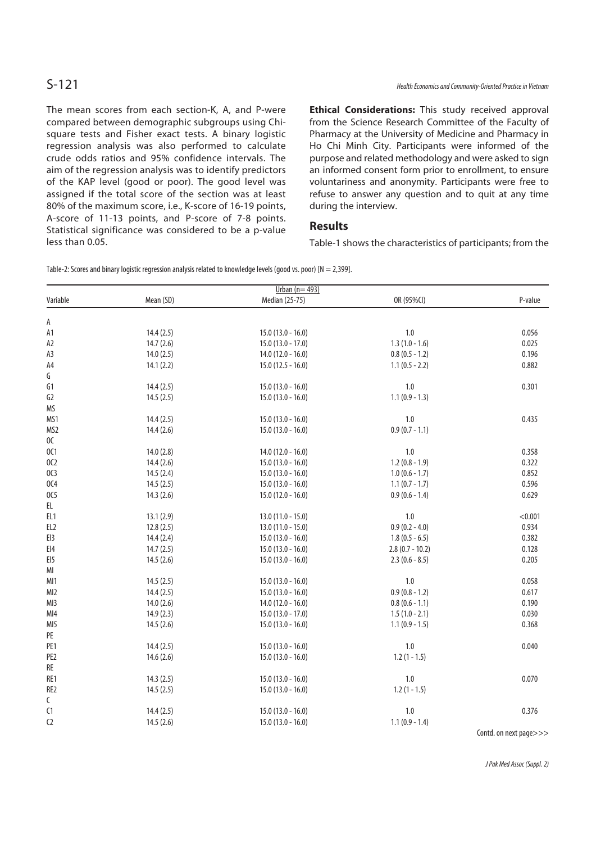The mean scores from each section-K, A, and P-were compared between demographic subgroups using Chisquare tests and Fisher exact tests. A binary logistic regression analysis was also performed to calculate crude odds ratios and 95% confidence intervals. The aim of the regression analysis was to identify predictors of the KAP level (good or poor). The good level was assigned if the total score of the section was at least 80% of the maximum score, i.e., K-score of 16-19 points, A-score of 11-13 points, and P-score of 7-8 points. Statistical significance was considered to be a p-value less than 0.05.

**Ethical Considerations:** This study received approval from the Science Research Committee of the Faculty of Pharmacy at the University of Medicine and Pharmacy in Ho Chi Minh City. Participants were informed of the purpose and related methodology and were asked to sign an informed consent form prior to enrollment, to ensure voluntariness and anonymity. Participants were free to refuse to answer any question and to quit at any time during the interview.

## **Results**

Table-1 shows the characteristics of participants; from the

Table-2: Scores and binary logistic regression analysis related to knowledge levels (good vs. poor) [N = 2,399].

| Urban $(n=493)$  |           |                     |                   |                        |  |
|------------------|-----------|---------------------|-------------------|------------------------|--|
| Variable         | Mean (SD) | Median (25-75)      | OR (95%CI)        | P-value                |  |
| А                |           |                     |                   |                        |  |
| A1               | 14.4(2.5) | $15.0(13.0 - 16.0)$ | 1.0               | 0.056                  |  |
| A <sub>2</sub>   | 14.7(2.6) | $15.0(13.0 - 17.0)$ | $1.3(1.0 - 1.6)$  | 0.025                  |  |
| A3               | 14.0(2.5) | $14.0(12.0 - 16.0)$ | $0.8(0.5 - 1.2)$  | 0.196                  |  |
| A4               | 14.1(2.2) | $15.0(12.5 - 16.0)$ | $1.1(0.5 - 2.2)$  | 0.882                  |  |
| G                |           |                     |                   |                        |  |
| G1               | 14.4(2.5) | $15.0(13.0 - 16.0)$ | 1.0               | 0.301                  |  |
| G <sub>2</sub>   | 14.5(2.5) | $15.0(13.0 - 16.0)$ | $1.1(0.9 - 1.3)$  |                        |  |
| MS               |           |                     |                   |                        |  |
| MS1              | 14.4(2.5) | $15.0(13.0 - 16.0)$ | 1.0               | 0.435                  |  |
| MS <sub>2</sub>  |           |                     | $0.9(0.7 - 1.1)$  |                        |  |
| OC               | 14.4(2.6) | $15.0(13.0 - 16.0)$ |                   |                        |  |
| 0C1              | 14.0(2.8) | $14.0(12.0 - 16.0)$ | 1.0               | 0.358                  |  |
| 0C2              |           | $15.0(13.0 - 16.0)$ | $1.2(0.8 - 1.9)$  | 0.322                  |  |
|                  | 14.4(2.6) |                     |                   |                        |  |
| OC3              | 14.5(2.4) | $15.0(13.0 - 16.0)$ | $1.0(0.6 - 1.7)$  | 0.852                  |  |
| 0C4              | 14.5(2.5) | $15.0(13.0 - 16.0)$ | $1.1(0.7 - 1.7)$  | 0.596                  |  |
| 0C5              | 14.3(2.6) | 15.0 (12.0 - 16.0)  | $0.9(0.6 - 1.4)$  | 0.629                  |  |
| EL               |           |                     |                   |                        |  |
| EL <sub>1</sub>  | 13.1(2.9) | $13.0(11.0 - 15.0)$ | 1.0               | < 0.001                |  |
| EL <sub>2</sub>  | 12.8(2.5) | $13.0(11.0 - 15.0)$ | $0.9(0.2 - 4.0)$  | 0.934                  |  |
| EI3              | 14.4(2.4) | $15.0(13.0 - 16.0)$ | $1.8(0.5 - 6.5)$  | 0.382                  |  |
| $E$ <sub>4</sub> | 14.7(2.5) | $15.0(13.0 - 16.0)$ | $2.8(0.7 - 10.2)$ | 0.128                  |  |
| EI5              | 14.5(2.6) | $15.0(13.0 - 16.0)$ | $2.3(0.6 - 8.5)$  | 0.205                  |  |
| MI               |           |                     |                   |                        |  |
| MI1              | 14.5(2.5) | $15.0(13.0 - 16.0)$ | 1.0               | 0.058                  |  |
| MI2              | 14.4(2.5) | $15.0(13.0 - 16.0)$ | $0.9(0.8 - 1.2)$  | 0.617                  |  |
| MI3              | 14.0(2.6) | $14.0(12.0 - 16.0)$ | $0.8(0.6 - 1.1)$  | 0.190                  |  |
| MI4              | 14.9(2.3) | $15.0(13.0 - 17.0)$ | $1.5(1.0 - 2.1)$  | 0.030                  |  |
| MI5              | 14.5(2.6) | $15.0(13.0 - 16.0)$ | $1.1(0.9 - 1.5)$  | 0.368                  |  |
| PE               |           |                     |                   |                        |  |
| PE <sub>1</sub>  | 14.4(2.5) | $15.0(13.0 - 16.0)$ | 1.0               | 0.040                  |  |
| PE <sub>2</sub>  | 14.6(2.6) | $15.0(13.0 - 16.0)$ | $1.2(1 - 1.5)$    |                        |  |
| RE               |           |                     |                   |                        |  |
| RE1              | 14.3(2.5) | $15.0(13.0 - 16.0)$ | 1.0               | 0.070                  |  |
| RE <sub>2</sub>  | 14.5(2.5) | $15.0(13.0 - 16.0)$ | $1.2(1 - 1.5)$    |                        |  |
| C                |           |                     |                   |                        |  |
| C1               | 14.4(2.5) | $15.0(13.0 - 16.0)$ | 1.0               | 0.376                  |  |
| C <sub>2</sub>   | 14.5(2.6) | $15.0(13.0 - 16.0)$ | $1.1(0.9 - 1.4)$  |                        |  |
|                  |           |                     |                   | Contd. on next page>>> |  |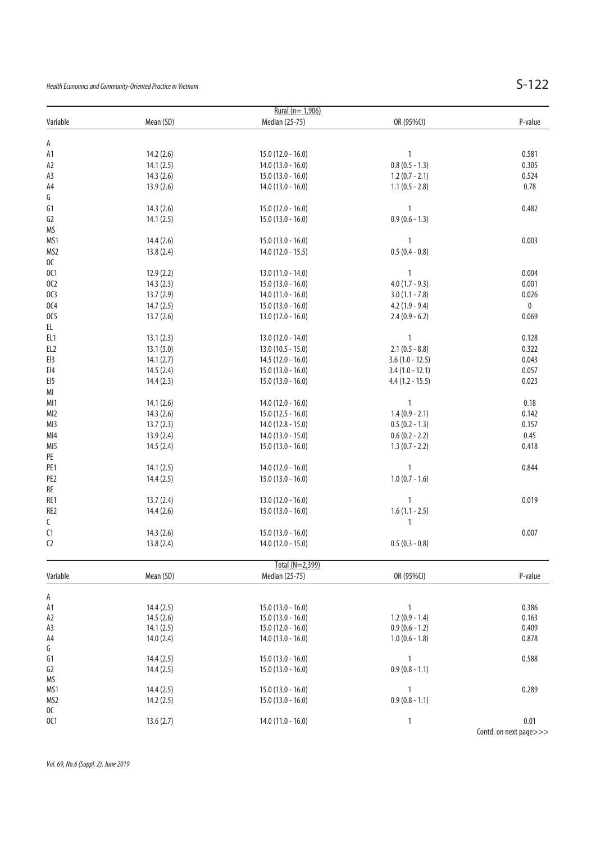Health Economics and Community-Oriented Practice in Vietnam  $S-122$ 

|                  |           | Rural (n= 1,906)    |                   |                        |
|------------------|-----------|---------------------|-------------------|------------------------|
| Variable         | Mean (SD) | Median (25-75)      | OR (95%CI)        | P-value                |
|                  |           |                     |                   |                        |
| A                |           |                     |                   |                        |
| A1               | 14.2(2.6) | $15.0(12.0 - 16.0)$ | $\mathbf{1}$      | 0.581                  |
| A2               | 14.1(2.5) | $14.0(13.0 - 16.0)$ | $0.8(0.5 - 1.3)$  | 0.305                  |
| A3               | 14.3(2.6) | $15.0(13.0 - 16.0)$ | $1.2(0.7 - 2.1)$  | 0.524                  |
| A4               | 13.9(2.6) | $14.0(13.0 - 16.0)$ | $1.1(0.5 - 2.8)$  | 0.78                   |
| G                |           |                     |                   |                        |
| G1               | 14.3(2.6) | $15.0(12.0 - 16.0)$ | $\mathbf{1}$      | 0.482                  |
| G2               | 14.1(2.5) | $15.0(13.0 - 16.0)$ | $0.9(0.6 - 1.3)$  |                        |
| MS               |           |                     |                   |                        |
| MS1              | 14.4(2.6) | $15.0(13.0 - 16.0)$ | 1                 | 0.003                  |
| MS <sub>2</sub>  | 13.8(2.4) | 14.0 (12.0 - 15.5)  | $0.5(0.4 - 0.8)$  |                        |
| $0\mathsf{C}$    |           |                     |                   |                        |
| 0C1              |           |                     | $\mathbf{1}$      |                        |
|                  | 12.9(2.2) | $13.0(11.0 - 14.0)$ |                   | 0.004                  |
| 0C <sub>2</sub>  | 14.3(2.3) | $15.0(13.0 - 16.0)$ | $4.0(1.7 - 9.3)$  | 0.001                  |
| OC3              | 13.7(2.9) | $14.0(11.0 - 16.0)$ | $3.0(1.1 - 7.8)$  | 0.026                  |
| 0C4              | 14.7(2.5) | $15.0(13.0 - 16.0)$ | $4.2(1.9 - 9.4)$  | $\bf{0}$               |
| 0C5              | 13.7(2.6) | $13.0(12.0 - 16.0)$ | $2.4(0.9 - 6.2)$  | 0.069                  |
| EL               |           |                     |                   |                        |
| EL <sub>1</sub>  | 13.1(2.3) | 13.0 (12.0 - 14.0)  | $\mathbf{1}$      | 0.128                  |
| EL <sub>2</sub>  | 13.1(3.0) | $13.0(10.5 - 15.0)$ | $2.1(0.5 - 8.8)$  | 0.322                  |
| EI3              | 14.1(2.7) | $14.5(12.0 - 16.0)$ | $3.6(1.0 - 12.5)$ | 0.043                  |
| $E$ <sub>4</sub> | 14.5(2.4) | $15.0(13.0 - 16.0)$ | $3.4(1.0 - 12.1)$ | 0.057                  |
| EI5              | 14.4(2.3) | $15.0(13.0 - 16.0)$ | $4.4(1.2 - 15.5)$ | 0.023                  |
| $\mathsf{MI}$    |           |                     |                   |                        |
|                  |           |                     | $\mathbf{1}$      |                        |
| MI1              | 14.1(2.6) | $14.0(12.0 - 16.0)$ |                   | 0.18                   |
| MI2              | 14.3(2.6) | $15.0(12.5 - 16.0)$ | $1.4(0.9 - 2.1)$  | 0.142                  |
| MI3              | 13.7(2.3) | $14.0(12.8 - 15.0)$ | $0.5(0.2 - 1.3)$  | 0.157                  |
| MI4              | 13.9(2.4) | $14.0(13.0 - 15.0)$ | $0.6(0.2 - 2.2)$  | 0.45                   |
| MI5              | 14.5(2.4) | $15.0(13.0 - 16.0)$ | $1.3(0.7 - 2.2)$  | 0.418                  |
| $\mathsf{PE}$    |           |                     |                   |                        |
| PE <sub>1</sub>  | 14.1(2.5) | $14.0(12.0 - 16.0)$ | 1                 | 0.844                  |
| PE <sub>2</sub>  | 14.4(2.5) | $15.0(13.0 - 16.0)$ | $1.0(0.7 - 1.6)$  |                        |
| RE               |           |                     |                   |                        |
| RE1              | 13.7(2.4) | $13.0(12.0 - 16.0)$ | 1                 | 0.019                  |
| RE <sub>2</sub>  | 14.4(2.6) | $15.0(13.0 - 16.0)$ | $1.6(1.1 - 2.5)$  |                        |
| C                |           |                     | 1                 |                        |
| C1               | 14.3(2.6) | $15.0(13.0 - 16.0)$ |                   | 0.007                  |
| C <sub>2</sub>   | 13.8(2.4) | 14.0 (12.0 - 15.0)  | $0.5(0.3 - 0.8)$  |                        |
|                  |           |                     |                   |                        |
|                  |           | Total (N=2,399)     |                   |                        |
| Variable         | Mean (SD) | Median (25-75)      | OR (95%CI)        | P-value                |
|                  |           |                     |                   |                        |
| Α                |           |                     |                   |                        |
| A1               | 14.4(2.5) | $15.0(13.0 - 16.0)$ | 1                 | 0.386                  |
| A2               | 14.5(2.6) | $15.0(13.0 - 16.0)$ | $1.2(0.9 - 1.4)$  | 0.163                  |
| A3               | 14.1(2.5) | $15.0(12.0 - 16.0)$ | $0.9(0.6 - 1.2)$  | 0.409                  |
| A4               | 14.0(2.4) | $14.0(13.0 - 16.0)$ | $1.0(0.6 - 1.8)$  | 0.878                  |
| G                |           |                     |                   |                        |
| G1               | 14.4(2.5) | $15.0(13.0 - 16.0)$ | 1                 | 0.588                  |
| G <sub>2</sub>   |           |                     | $0.9(0.8 - 1.1)$  |                        |
|                  | 14.4(2.5) | $15.0(13.0 - 16.0)$ |                   |                        |
| MS               |           |                     |                   |                        |
| MS1              | 14.4(2.5) | $15.0(13.0 - 16.0)$ | 1                 | 0.289                  |
| MS <sub>2</sub>  | 14.2(2.5) | $15.0(13.0 - 16.0)$ | $0.9(0.8 - 1.1)$  |                        |
| OC               |           |                     |                   |                        |
| 0C1              | 13.6(2.7) | $14.0(11.0 - 16.0)$ | 1                 | 0.01                   |
|                  |           |                     |                   | Contd. on next page>>> |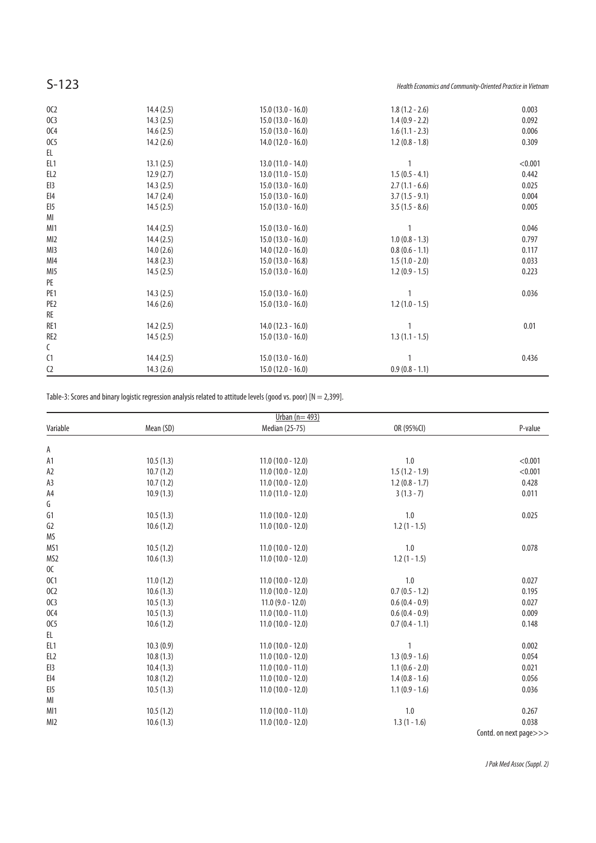S-123 **S-123** Health Economics and Community-Oriented Practice in Vietnam

| 14.4(2.5) | $15.0(13.0 - 16.0)$ | $1.8(1.2 - 2.6)$    | 0.003   |
|-----------|---------------------|---------------------|---------|
| 14.3(2.5) | $15.0(13.0 - 16.0)$ | $1.4(0.9 - 2.2)$    | 0.092   |
| 14.6(2.5) |                     | $1.6(1.1 - 2.3)$    | 0.006   |
| 14.2(2.6) | $14.0(12.0 - 16.0)$ | $1.2(0.8 - 1.8)$    | 0.309   |
|           |                     |                     |         |
| 13.1(2.5) | $13.0(11.0 - 14.0)$ |                     | < 0.001 |
| 12.9(2.7) | $13.0(11.0 - 15.0)$ | $1.5(0.5 - 4.1)$    | 0.442   |
| 14.3(2.5) | $15.0(13.0 - 16.0)$ | $2.7(1.1 - 6.6)$    | 0.025   |
| 14.7(2.4) | $15.0(13.0 - 16.0)$ | $3.7(1.5 - 9.1)$    | 0.004   |
| 14.5(2.5) | $15.0(13.0 - 16.0)$ | $3.5(1.5 - 8.6)$    | 0.005   |
|           |                     |                     |         |
| 14.4(2.5) | $15.0(13.0 - 16.0)$ | $\mathbf{1}$        | 0.046   |
| 14.4(2.5) | $15.0(13.0 - 16.0)$ | $1.0 (0.8 - 1.3)$   | 0.797   |
| 14.0(2.6) | $14.0(12.0 - 16.0)$ | $0.8(0.6 - 1.1)$    | 0.117   |
| 14.8(2.3) | $15.0(13.0 - 16.8)$ | $1.5(1.0 - 2.0)$    | 0.033   |
| 14.5(2.5) | $15.0(13.0 - 16.0)$ | $1.2(0.9 - 1.5)$    | 0.223   |
|           |                     |                     |         |
| 14.3(2.5) | $15.0(13.0 - 16.0)$ |                     | 0.036   |
| 14.6(2.6) | $15.0(13.0 - 16.0)$ | $1.2(1.0 - 1.5)$    |         |
|           |                     |                     |         |
| 14.2(2.5) | $14.0(12.3 - 16.0)$ |                     | 0.01    |
| 14.5(2.5) | $15.0(13.0 - 16.0)$ | $1.3(1.1 - 1.5)$    |         |
|           |                     |                     |         |
| 14.4(2.5) | $15.0(13.0 - 16.0)$ |                     | 0.436   |
| 14.3(2.6) | $15.0(12.0 - 16.0)$ | $0.9(0.8 - 1.1)$    |         |
|           |                     | $15.0(13.0 - 16.0)$ |         |

Table-3: Scores and binary logistic regression analysis related to attitude levels (good vs. poor) [N = 2,399].

|                   |           | Urban ( $n = 493$ ) |                  |                        |
|-------------------|-----------|---------------------|------------------|------------------------|
| Variable          | Mean (SD) | Median (25-75)      | OR (95%CI)       | P-value                |
| А                 |           |                     |                  |                        |
| A1                | 10.5(1.3) | $11.0(10.0 - 12.0)$ | 1.0              | < 0.001                |
| A <sub>2</sub>    | 10.7(1.2) | $11.0(10.0 - 12.0)$ | $1.5(1.2 - 1.9)$ | < 0.001                |
| A3                | 10.7(1.2) | $11.0(10.0 - 12.0)$ | $1.2(0.8 - 1.7)$ | 0.428                  |
| A4                | 10.9(1.3) | $11.0(11.0 - 12.0)$ | $3(1.3-7)$       | 0.011                  |
| G                 |           |                     |                  |                        |
| G1                | 10.5(1.3) | $11.0(10.0 - 12.0)$ | 1.0              | 0.025                  |
| G <sub>2</sub>    | 10.6(1.2) | $11.0(10.0 - 12.0)$ | $1.2(1 - 1.5)$   |                        |
| <b>MS</b>         |           |                     |                  |                        |
| MS1               | 10.5(1.2) | $11.0(10.0 - 12.0)$ | 1.0              | 0.078                  |
| MS2               | 10.6(1.3) | $11.0(10.0 - 12.0)$ | $1.2(1 - 1.5)$   |                        |
| 0C                |           |                     |                  |                        |
| 0C1               | 11.0(1.2) | $11.0(10.0 - 12.0)$ | 1.0              | 0.027                  |
| 0C <sub>2</sub>   | 10.6(1.3) | $11.0(10.0 - 12.0)$ | $0.7(0.5 - 1.2)$ | 0.195                  |
| OC3               | 10.5(1.3) | $11.0(9.0 - 12.0)$  | $0.6(0.4 - 0.9)$ | 0.027                  |
| 0C4               | 10.5(1.3) | $11.0(10.0 - 11.0)$ | $0.6(0.4 - 0.9)$ | 0.009                  |
| 0C <sub>5</sub>   | 10.6(1.2) | $11.0(10.0 - 12.0)$ | $0.7(0.4 - 1.1)$ | 0.148                  |
| EL                |           |                     |                  |                        |
| EL <sub>1</sub>   | 10.3(0.9) | $11.0(10.0 - 12.0)$ | 1                | 0.002                  |
| EL <sub>2</sub>   | 10.8(1.3) | $11.0(10.0 - 12.0)$ | $1.3(0.9 - 1.6)$ | 0.054                  |
| E13               | 10.4(1.3) | $11.0(10.0 - 11.0)$ | $1.1(0.6 - 2.0)$ | 0.021                  |
| $E$ <sub>14</sub> | 10.8(1.2) | $11.0(10.0 - 12.0)$ | $1.4(0.8 - 1.6)$ | 0.056                  |
| E15               | 10.5(1.3) | $11.0(10.0 - 12.0)$ | $1.1(0.9 - 1.6)$ | 0.036                  |
| MI                |           |                     |                  |                        |
| MI1               | 10.5(1.2) | $11.0(10.0 - 11.0)$ | 1.0              | 0.267                  |
| MI2               | 10.6(1.3) | $11.0(10.0 - 12.0)$ | $1.3(1 - 1.6)$   | 0.038                  |
|                   |           |                     |                  | Contd. on next page>>> |

J Pak Med Assoc (Suppl. 2)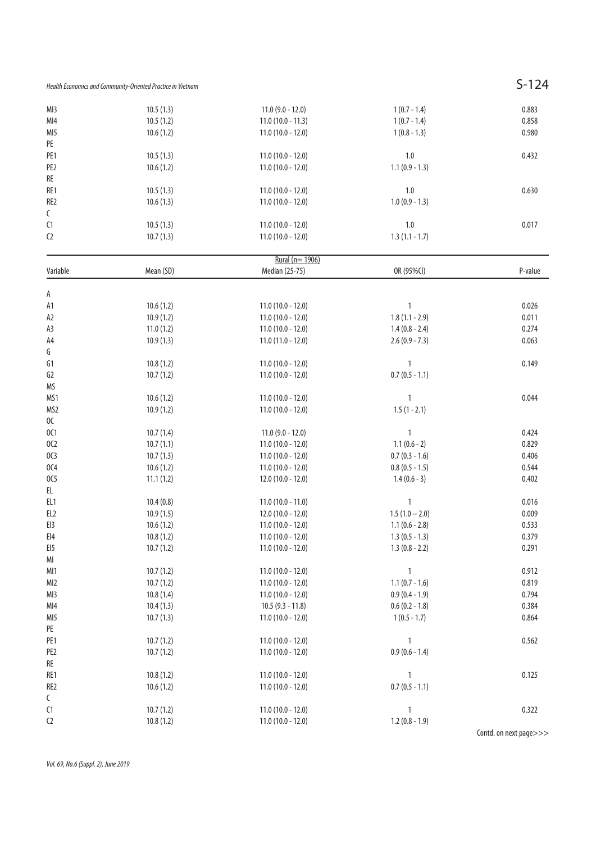Health Economics and Community-Oriented Practice in Vietnam  $S-124$ 

| MI3      | 10.5(1.3) | $11.0 (9.0 - 12.0)$ | $1(0.7 - 1.4)$   | 0.883   |
|----------|-----------|---------------------|------------------|---------|
| MI4      | 10.5(1.2) | $11.0(10.0 - 11.3)$ | $1(0.7 - 1.4)$   | 0.858   |
| MI5      | 10.6(1.2) | $11.0(10.0 - 12.0)$ | $1(0.8 - 1.3)$   | 0.980   |
| PE       |           |                     |                  |         |
| PE1      | 10.5(1.3) | $11.0(10.0 - 12.0)$ | 1.0              | 0.432   |
| PE2      | 10.6(1.2) | $11.0(10.0 - 12.0)$ | $1.1(0.9 - 1.3)$ |         |
| RE       |           |                     |                  |         |
| RE1      | 10.5(1.3) | $11.0(10.0 - 12.0)$ | 1.0              | 0.630   |
| RE2      | 10.6(1.3) | $11.0(10.0 - 12.0)$ | $1.0(0.9 - 1.3)$ |         |
| C        |           |                     |                  |         |
| C1       | 10.5(1.3) | $11.0(10.0 - 12.0)$ | 1.0              | 0.017   |
| C2       | 10.7(1.3) | $11.0(10.0 - 12.0)$ | $1.3(1.1 - 1.7)$ |         |
|          |           | Rural (n= 1906)     |                  |         |
| Variable | Mean (SD) | Median (25-75)      | OR (95%CI)       | P-value |
|          |           |                     |                  |         |
| А        |           |                     |                  |         |
| А1       | 10.6(1.2) | $11.0(10.0 - 12.0)$ | 1                | 0.026   |
| A2       | 10.9(1.2) | $11.0(10.0 - 12.0)$ | $1.8(1.1 - 2.9)$ | 0.011   |
| A3       | 11.0(1.2) | $11.0(10.0 - 12.0)$ | $1.4(0.8 - 2.4)$ | 0.274   |
| A4       | 10.9(1.3) | $11.0(11.0 - 12.0)$ | $2.6(0.9 - 7.3)$ | 0.063   |
| G        |           |                     |                  |         |
| G1       | 10.8(1.2) | $11.0(10.0 - 12.0)$ | 1                | 0.149   |
| G2       | 10.7(1.2) | $11.0(10.0 - 12.0)$ | $0.7(0.5 - 1.1)$ |         |
| ΜS       |           |                     |                  |         |
| MS1      | 10.6(1.2) | $11.0(10.0 - 12.0)$ | 1                | 0.044   |
| MS2      | 10.9(1.2) | $11.0(10.0 - 12.0)$ | $1.5(1 - 2.1)$   |         |
| OC.      |           |                     |                  |         |
| 0C1      | 10.7(1.4) | $11.0(9.0 - 12.0)$  | 1                | 0.424   |
| OC2      | 10.7(1.1) | $11.0(10.0 - 12.0)$ | $1.1(0.6 - 2)$   | 0.829   |
| OC3      | 10.7(1.3) | $11.0(10.0 - 12.0)$ | $0.7(0.3 - 1.6)$ | 0.406   |
| OC4      | 10.6(1.2) | $11.0(10.0 - 12.0)$ | $0.8(0.5 - 1.5)$ | 0.544   |
| OC5      | 11.1(1.2) | $12.0(10.0 - 12.0)$ | $1.4(0.6 - 3)$   | 0.402   |
| EL       |           |                     |                  |         |
| EL 1     | 10.4(0.8) | $11.0(10.0 - 11.0)$ | 1                | 0.016   |
| EL2      | 10.9(1.5) | $12.0(10.0 - 12.0)$ | $1.5(1.0 - 2.0)$ | 0.009   |
| El3      | 10.6(1.2) | $11.0(10.0 - 12.0)$ | $1.1(0.6 - 2.8)$ | 0.533   |
| EI4      | 10.8(1.2) | $11.0(10.0 - 12.0)$ | $1.3(0.5 - 1.3)$ | 0.379   |
| El5      | 10.7(1.2) | $11.0(10.0 - 12.0)$ | $1.3(0.8 - 2.2)$ | 0.291   |
| MI       |           |                     |                  |         |
| MI1      | 10.7(1.2) | $11.0(10.0 - 12.0)$ | 1                | 0.912   |
| MI2      | 10.7(1.2) | $11.0(10.0 - 12.0)$ | $1.1(0.7 - 1.6)$ | 0.819   |
| MI3      | 10.8(1.4) | $11.0(10.0 - 12.0)$ | $0.9(0.4 - 1.9)$ | 0.794   |
| MI4      | 10.4(1.3) | $10.5(9.3 - 11.8)$  | $0.6(0.2 - 1.8)$ | 0.384   |
| MI5      | 10.7(1.3) | $11.0(10.0 - 12.0)$ | $1(0.5 - 1.7)$   | 0.864   |
| PE       |           |                     |                  |         |
| PE1      | 10.7(1.2) | $11.0(10.0 - 12.0)$ | 1                | 0.562   |
| PE2      | 10.7(1.2) | $11.0(10.0 - 12.0)$ | $0.9(0.6 - 1.4)$ |         |
| RE       |           |                     |                  |         |

RE1 10.8 (1.2) 11.0 (10.0 - 12.0) 1<br>RE2 10.6 (1.2) 11.0 (10.0 - 12.0) 0.7 (0.5 - 1.1) 0.125  $11.0 (10.0 - 12.0)$  $(1)$  10.7 (1.2) 11.0 (10.0 - 12.0) 1<br>  $(10.0 - 12.0)$  1<br>  $(10.0 - 12.0)$  1.2 (0.8 - 1.9)  $11.0 (10.0 - 12.0)$ 

Vol. 69, No.6 (Suppl. 2), June 2019

 $\mathsf C$ 

Contd. on next page>>>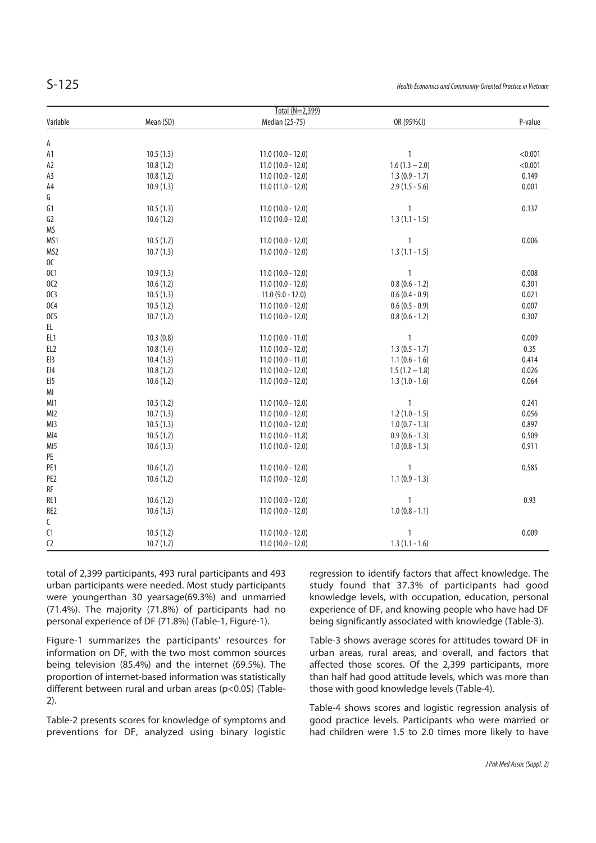| ۰, | ×.<br>٧ |
|----|---------|

| Total (N=2,399)   |           |                     |                  |         |  |
|-------------------|-----------|---------------------|------------------|---------|--|
| Variable          | Mean (SD) | Median (25-75)      | OR (95%CI)       | P-value |  |
|                   |           |                     |                  |         |  |
| А                 |           |                     |                  |         |  |
| A1                | 10.5(1.3) | $11.0(10.0 - 12.0)$ | $\mathbf{1}$     | < 0.001 |  |
| A <sub>2</sub>    | 10.8(1.2) | $11.0(10.0 - 12.0)$ | $1.6(1.3 - 2.0)$ | < 0.001 |  |
| A3                | 10.8(1.2) | $11.0(10.0 - 12.0)$ | $1.3(0.9 - 1.7)$ | 0.149   |  |
| A4                | 10.9(1.3) | $11.0(11.0 - 12.0)$ | $2.9(1.5 - 5.6)$ | 0.001   |  |
| G                 |           |                     |                  |         |  |
| G1                | 10.5(1.3) | $11.0(10.0 - 12.0)$ | $\mathbf{1}$     | 0.137   |  |
| G <sub>2</sub>    | 10.6(1.2) | $11.0(10.0 - 12.0)$ | $1.3(1.1 - 1.5)$ |         |  |
| MS                |           |                     |                  |         |  |
| MS1               | 10.5(1.2) | $11.0(10.0 - 12.0)$ | $\mathbf{1}$     | 0.006   |  |
| MS <sub>2</sub>   | 10.7(1.3) | $11.0(10.0 - 12.0)$ | $1.3(1.1 - 1.5)$ |         |  |
| OC                |           |                     |                  |         |  |
| 0C1               | 10.9(1.3) | $11.0(10.0 - 12.0)$ | $\mathbf{1}$     | 0.008   |  |
| 0C <sub>2</sub>   | 10.6(1.2) | $11.0(10.0 - 12.0)$ | $0.8(0.6 - 1.2)$ | 0.301   |  |
| OC3               | 10.5(1.3) | $11.0(9.0 - 12.0)$  | $0.6(0.4 - 0.9)$ | 0.021   |  |
| 0C4               | 10.5(1.2) | $11.0(10.0 - 12.0)$ | $0.6(0.5 - 0.9)$ | 0.007   |  |
| 0C5               | 10.7(1.2) | $11.0(10.0 - 12.0)$ | $0.8(0.6 - 1.2)$ | 0.307   |  |
| EL                |           |                     |                  |         |  |
| EL <sub>1</sub>   | 10.3(0.8) | $11.0(10.0 - 11.0)$ | $\mathbf{1}$     | 0.009   |  |
| EL <sub>2</sub>   | 10.8(1.4) | $11.0(10.0 - 12.0)$ | $1.3(0.5 - 1.7)$ | 0.35    |  |
| EI3               | 10.4(1.3) | $11.0(10.0 - 11.0)$ | $1.1(0.6 - 1.6)$ | 0.414   |  |
| $E$ <sub>14</sub> | 10.8(1.2) | $11.0(10.0 - 12.0)$ | $1.5(1.2 - 1.8)$ | 0.026   |  |
| EI <sub>5</sub>   | 10.6(1.2) | $11.0(10.0 - 12.0)$ | $1.3(1.0 - 1.6)$ | 0.064   |  |
| MI                |           |                     |                  |         |  |
|                   |           |                     |                  |         |  |
| MI1               | 10.5(1.2) | $11.0(10.0 - 12.0)$ | $\mathbf{1}$     | 0.241   |  |
| MI2               | 10.7(1.3) | $11.0(10.0 - 12.0)$ | $1.2(1.0 - 1.5)$ | 0.056   |  |
| MI3               | 10.5(1.3) | $11.0(10.0 - 12.0)$ | $1.0(0.7 - 1.3)$ | 0.897   |  |
| MI4               | 10.5(1.2) | $11.0(10.0 - 11.8)$ | $0.9(0.6 - 1.3)$ | 0.509   |  |
| MI5               | 10.6(1.3) | $11.0(10.0 - 12.0)$ | $1.0(0.8 - 1.3)$ | 0.911   |  |
| PE                |           |                     |                  |         |  |
| PE1               | 10.6(1.2) | $11.0(10.0 - 12.0)$ | $\mathbf{1}$     | 0.585   |  |
| PE <sub>2</sub>   | 10.6(1.2) | $11.0(10.0 - 12.0)$ | $1.1(0.9 - 1.3)$ |         |  |
| RE                |           |                     |                  |         |  |
| RE1               | 10.6(1.2) | $11.0(10.0 - 12.0)$ | $\mathbf{1}$     | 0.93    |  |
| RE <sub>2</sub>   | 10.6(1.3) | $11.0(10.0 - 12.0)$ | $1.0(0.8 - 1.1)$ |         |  |
| C                 |           |                     |                  |         |  |
| C1                | 10.5(1.2) | $11.0(10.0 - 12.0)$ | $\mathbf{1}$     | 0.009   |  |
| C <sub>2</sub>    | 10.7(1.2) | $11.0(10.0 - 12.0)$ | $1.3(1.1 - 1.6)$ |         |  |

total of 2,399 participants, 493 rural participants and 493 urban participants were needed. Most study participants were youngerthan 30 yearsage(69.3%) and unmarried (71.4%). The majority (71.8%) of participants had no personal experience of DF (71.8%) (Table-1, Figure-1).

Figure-1 summarizes the participants' resources for information on DF, with the two most common sources being television (85.4%) and the internet (69.5%). The proportion of internet-based information was statistically different between rural and urban areas (p<0.05) (Table-2).

Table-2 presents scores for knowledge of symptoms and preventions for DF, analyzed using binary logistic regression to identify factors that affect knowledge. The study found that 37.3% of participants had good knowledge levels, with occupation, education, personal experience of DF, and knowing people who have had DF being significantly associated with knowledge (Table-3).

Table-3 shows average scores for attitudes toward DF in urban areas, rural areas, and overall, and factors that affected those scores. Of the 2,399 participants, more than half had good attitude levels, which was more than those with good knowledge levels (Table-4).

Table-4 shows scores and logistic regression analysis of good practice levels. Participants who were married or had children were 1.5 to 2.0 times more likely to have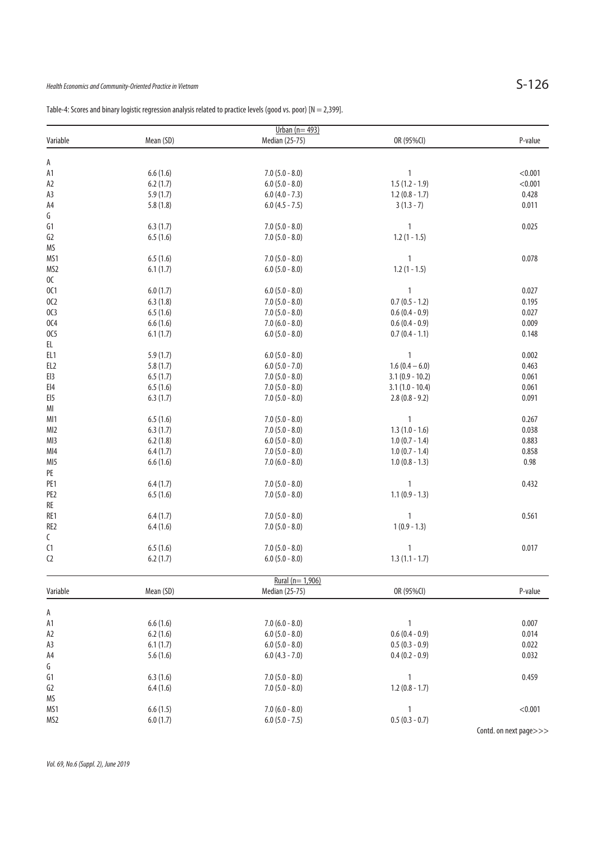| Urban $(n=493)$ |           |                   |                   |         |  |
|-----------------|-----------|-------------------|-------------------|---------|--|
| Variable        | Mean (SD) | Median (25-75)    | OR (95%CI)        | P-value |  |
| Α               |           |                   |                   |         |  |
| A1              | 6.6(1.6)  | $7.0 (5.0 - 8.0)$ | $\mathbf{1}$      | < 0.001 |  |
| A <sub>2</sub>  | 6.2(1.7)  | $6.0 (5.0 - 8.0)$ | $1.5(1.2 - 1.9)$  | < 0.001 |  |
| A3              | 5.9(1.7)  | $6.0 (4.0 - 7.3)$ | $1.2(0.8 - 1.7)$  | 0.428   |  |
|                 |           |                   |                   |         |  |
| A4<br>G         | 5.8(1.8)  | $6.0 (4.5 - 7.5)$ | $3(1.3 - 7)$      | 0.011   |  |
|                 |           |                   |                   |         |  |
| G1              | 6.3(1.7)  | $7.0(5.0 - 8.0)$  | $\mathbf{1}$      | 0.025   |  |
| G <sub>2</sub>  | 6.5(1.6)  | $7.0(5.0 - 8.0)$  | $1.2(1 - 1.5)$    |         |  |
| MS              |           |                   |                   |         |  |
| MS1             | 6.5(1.6)  | $7.0(5.0 - 8.0)$  | $\mathbf{1}$      | 0.078   |  |
| MS <sub>2</sub> | 6.1(1.7)  | $6.0 (5.0 - 8.0)$ | $1.2(1 - 1.5)$    |         |  |
| OC              |           |                   |                   |         |  |
| 0C1             | 6.0(1.7)  | $6.0 (5.0 - 8.0)$ | $\mathbf{1}$      | 0.027   |  |
| 0C <sub>2</sub> | 6.3(1.8)  | $7.0(5.0 - 8.0)$  | $0.7(0.5 - 1.2)$  | 0.195   |  |
| OC3             | 6.5(1.6)  | $7.0 (5.0 - 8.0)$ | $0.6(0.4 - 0.9)$  | 0.027   |  |
| 0C4             | 6.6(1.6)  | $7.0(6.0 - 8.0)$  | $0.6(0.4 - 0.9)$  | 0.009   |  |
| OC5             | 6.1(1.7)  | $6.0 (5.0 - 8.0)$ | $0.7(0.4 - 1.1)$  | 0.148   |  |
| EL              |           |                   |                   |         |  |
| EL1             | 5.9(1.7)  | $6.0(5.0 - 8.0)$  | $\mathbf{1}$      | 0.002   |  |
| EL <sub>2</sub> | 5.8(1.7)  | $6.0 (5.0 - 7.0)$ | $1.6(0.4-6.0)$    | 0.463   |  |
| EI3             | 6.5(1.7)  | $7.0(5.0 - 8.0)$  | $3.1(0.9 - 10.2)$ | 0.061   |  |
| EI4             | 6.5(1.6)  | $7.0(5.0 - 8.0)$  | $3.1(1.0 - 10.4)$ | 0.061   |  |
| EI <sub>5</sub> | 6.3(1.7)  | $7.0 (5.0 - 8.0)$ | $2.8(0.8 - 9.2)$  | 0.091   |  |
| MI              |           |                   |                   |         |  |
| MI1             | 6.5(1.6)  | $7.0(5.0 - 8.0)$  | $\mathbf{1}$      | 0.267   |  |
| MI2             | 6.3(1.7)  | $7.0(5.0 - 8.0)$  | $1.3(1.0 - 1.6)$  | 0.038   |  |
| MI3             | 6.2(1.8)  | $6.0 (5.0 - 8.0)$ | $1.0(0.7 - 1.4)$  | 0.883   |  |
| MI4             | 6.4(1.7)  | $7.0(5.0 - 8.0)$  | $1.0(0.7 - 1.4)$  | 0.858   |  |
| MI <sub>5</sub> | 6.6(1.6)  | $7.0 (6.0 - 8.0)$ | $1.0(0.8 - 1.3)$  | 0.98    |  |
| PE              |           |                   |                   |         |  |
| PE <sub>1</sub> | 6.4(1.7)  | $7.0(5.0 - 8.0)$  | 1                 | 0.432   |  |
| PE <sub>2</sub> |           | $7.0 (5.0 - 8.0)$ | $1.1(0.9 - 1.3)$  |         |  |
| RE              | 6.5(1.6)  |                   |                   |         |  |
|                 |           |                   |                   |         |  |
| RE1             | 6.4(1.7)  | $7.0 (5.0 - 8.0)$ | $\mathbf{1}$      | 0.561   |  |
| RE <sub>2</sub> | 6.4(1.6)  | $7.0(5.0 - 8.0)$  | $1(0.9 - 1.3)$    |         |  |
| C               |           |                   |                   |         |  |
| C1              | 6.5(1.6)  | $7.0(5.0 - 8.0)$  | $\mathbf{1}$      | 0.017   |  |
| C <sub>2</sub>  | 6.2(1.7)  | $6.0 (5.0 - 8.0)$ | $1.3(1.1 - 1.7)$  |         |  |
|                 |           | Rural (n= 1,906)  |                   |         |  |
| Variable        | Mean (SD) | Median (25-75)    | OR (95%CI)        | P-value |  |
|                 |           |                   |                   |         |  |
| А               |           |                   |                   |         |  |
| A1              | 6.6(1.6)  | $7.0(6.0 - 8.0)$  | $\mathbf{1}$      | 0.007   |  |
| A2              | 6.2(1.6)  | $6.0 (5.0 - 8.0)$ | $0.6(0.4 - 0.9)$  | 0.014   |  |
| A3              | 6.1(1.7)  | $6.0 (5.0 - 8.0)$ | $0.5(0.3 - 0.9)$  | 0.022   |  |
| A4              | 5.6(1.6)  | $6.0 (4.3 - 7.0)$ | $0.4(0.2 - 0.9)$  | 0.032   |  |
| G               |           |                   |                   |         |  |
| G1              | 6.3(1.6)  | $7.0(5.0 - 8.0)$  | $\mathbf{1}$      | 0.459   |  |
| G <sub>2</sub>  | 6.4(1.6)  | $7.0(5.0 - 8.0)$  | $1.2(0.8 - 1.7)$  |         |  |
| MS              |           |                   |                   |         |  |
| MS1             | 6.6(1.5)  | $7.0 (6.0 - 8.0)$ | $\mathbf{1}$      | < 0.001 |  |
| MS <sub>2</sub> | 6.0(1.7)  | $6.0 (5.0 - 7.5)$ | $0.5(0.3 - 0.7)$  |         |  |

Table-4: Scores and binary logistic regression analysis related to practice levels (good vs. poor) [N = 2,399].

Contd. on next page>>>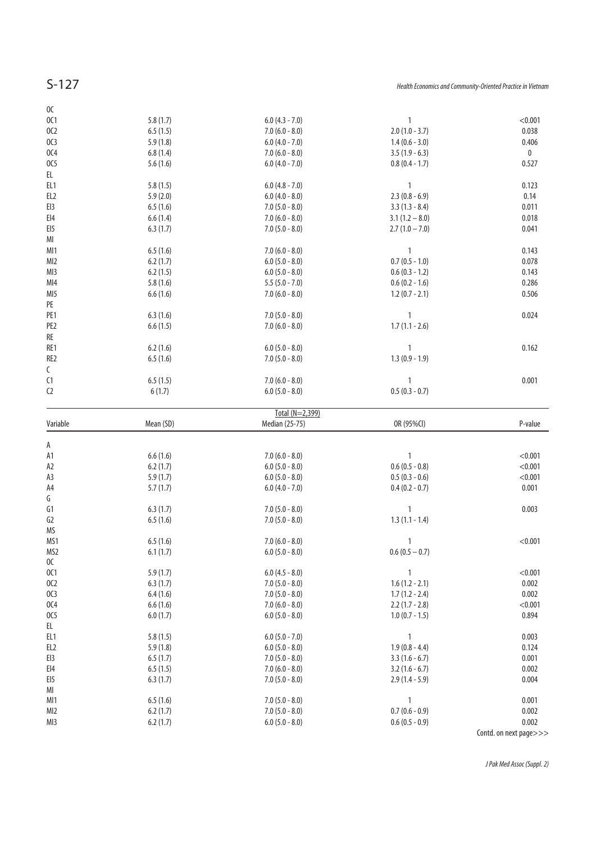| 6.5(1.6)<br>6.2(1.7)<br>6.2(1.5)<br>5.8(1.6)<br>6.6(1.6)<br>6.3(1.6)<br>6.6(1.5)<br>6.2(1.6)<br>6.5(1.6)<br>6.5(1.5)<br>6(1.7)<br>Mean (SD) | $7.0(6.0 - 8.0)$<br>$6.0 (5.0 - 8.0)$<br>$6.0 (5.0 - 8.0)$<br>$5.5(5.0 - 7.0)$<br>$7.0(6.0 - 8.0)$<br>$7.0(5.0 - 8.0)$<br>$7.0(6.0 - 8.0)$<br>$6.0 (5.0 - 8.0)$<br>$7.0(5.0 - 8.0)$<br>$7.0(6.0 - 8.0)$<br>$6.0 (5.0 - 8.0)$<br>Total (N=2,399)<br>Median (25-75) | $\mathbf{1}$<br>0.143<br>$0.7(0.5 - 1.0)$<br>0.078<br>0.143<br>$0.6(0.3 - 1.2)$<br>$0.6(0.2 - 1.6)$<br>0.286<br>$1.2(0.7 - 2.1)$<br>0.506<br>0.024<br>1<br>$1.7(1.1 - 2.6)$<br>0.162<br>1<br>$1.3(0.9 - 1.9)$<br>0.001<br>1<br>$0.5(0.3 - 0.7)$<br>OR (95%CI)<br>P-value |                                                                                                                                                                                                                                    |
|---------------------------------------------------------------------------------------------------------------------------------------------|-------------------------------------------------------------------------------------------------------------------------------------------------------------------------------------------------------------------------------------------------------------------|--------------------------------------------------------------------------------------------------------------------------------------------------------------------------------------------------------------------------------------------------------------------------|------------------------------------------------------------------------------------------------------------------------------------------------------------------------------------------------------------------------------------|
|                                                                                                                                             |                                                                                                                                                                                                                                                                   |                                                                                                                                                                                                                                                                          |                                                                                                                                                                                                                                    |
|                                                                                                                                             |                                                                                                                                                                                                                                                                   |                                                                                                                                                                                                                                                                          |                                                                                                                                                                                                                                    |
|                                                                                                                                             |                                                                                                                                                                                                                                                                   |                                                                                                                                                                                                                                                                          |                                                                                                                                                                                                                                    |
|                                                                                                                                             |                                                                                                                                                                                                                                                                   |                                                                                                                                                                                                                                                                          |                                                                                                                                                                                                                                    |
|                                                                                                                                             |                                                                                                                                                                                                                                                                   |                                                                                                                                                                                                                                                                          |                                                                                                                                                                                                                                    |
|                                                                                                                                             |                                                                                                                                                                                                                                                                   |                                                                                                                                                                                                                                                                          |                                                                                                                                                                                                                                    |
|                                                                                                                                             |                                                                                                                                                                                                                                                                   |                                                                                                                                                                                                                                                                          |                                                                                                                                                                                                                                    |
|                                                                                                                                             |                                                                                                                                                                                                                                                                   |                                                                                                                                                                                                                                                                          |                                                                                                                                                                                                                                    |
|                                                                                                                                             |                                                                                                                                                                                                                                                                   |                                                                                                                                                                                                                                                                          |                                                                                                                                                                                                                                    |
|                                                                                                                                             |                                                                                                                                                                                                                                                                   |                                                                                                                                                                                                                                                                          |                                                                                                                                                                                                                                    |
|                                                                                                                                             |                                                                                                                                                                                                                                                                   |                                                                                                                                                                                                                                                                          |                                                                                                                                                                                                                                    |
|                                                                                                                                             |                                                                                                                                                                                                                                                                   |                                                                                                                                                                                                                                                                          |                                                                                                                                                                                                                                    |
|                                                                                                                                             |                                                                                                                                                                                                                                                                   |                                                                                                                                                                                                                                                                          |                                                                                                                                                                                                                                    |
|                                                                                                                                             |                                                                                                                                                                                                                                                                   |                                                                                                                                                                                                                                                                          |                                                                                                                                                                                                                                    |
|                                                                                                                                             |                                                                                                                                                                                                                                                                   |                                                                                                                                                                                                                                                                          |                                                                                                                                                                                                                                    |
|                                                                                                                                             |                                                                                                                                                                                                                                                                   |                                                                                                                                                                                                                                                                          |                                                                                                                                                                                                                                    |
|                                                                                                                                             |                                                                                                                                                                                                                                                                   |                                                                                                                                                                                                                                                                          |                                                                                                                                                                                                                                    |
|                                                                                                                                             |                                                                                                                                                                                                                                                                   |                                                                                                                                                                                                                                                                          |                                                                                                                                                                                                                                    |
| 6.3(1.7)                                                                                                                                    | $7.0(5.0 - 8.0)$                                                                                                                                                                                                                                                  | $2.7(1.0 - 7.0)$<br>0.041                                                                                                                                                                                                                                                |                                                                                                                                                                                                                                    |
|                                                                                                                                             |                                                                                                                                                                                                                                                                   |                                                                                                                                                                                                                                                                          |                                                                                                                                                                                                                                    |
|                                                                                                                                             |                                                                                                                                                                                                                                                                   |                                                                                                                                                                                                                                                                          |                                                                                                                                                                                                                                    |
|                                                                                                                                             |                                                                                                                                                                                                                                                                   |                                                                                                                                                                                                                                                                          |                                                                                                                                                                                                                                    |
|                                                                                                                                             |                                                                                                                                                                                                                                                                   | $\mathbf{1}$                                                                                                                                                                                                                                                             |                                                                                                                                                                                                                                    |
|                                                                                                                                             |                                                                                                                                                                                                                                                                   |                                                                                                                                                                                                                                                                          |                                                                                                                                                                                                                                    |
|                                                                                                                                             |                                                                                                                                                                                                                                                                   |                                                                                                                                                                                                                                                                          |                                                                                                                                                                                                                                    |
|                                                                                                                                             |                                                                                                                                                                                                                                                                   |                                                                                                                                                                                                                                                                          |                                                                                                                                                                                                                                    |
|                                                                                                                                             |                                                                                                                                                                                                                                                                   |                                                                                                                                                                                                                                                                          |                                                                                                                                                                                                                                    |
|                                                                                                                                             |                                                                                                                                                                                                                                                                   |                                                                                                                                                                                                                                                                          |                                                                                                                                                                                                                                    |
|                                                                                                                                             |                                                                                                                                                                                                                                                                   |                                                                                                                                                                                                                                                                          |                                                                                                                                                                                                                                    |
|                                                                                                                                             | 5.8(1.7)<br>6.5(1.5)<br>5.9(1.8)<br>6.8(1.4)<br>5.6(1.6)<br>5.8(1.5)<br>5.9(2.0)<br>6.5(1.6)<br>6.6(1.4)                                                                                                                                                          | $6.0(4.3 - 7.0)$<br>$7.0(6.0 - 8.0)$<br>$6.0(4.0 - 7.0)$<br>$7.0(6.0 - 8.0)$<br>$6.0 (4.0 - 7.0)$<br>$6.0$ (4.8 - 7.0)<br>$6.0$ (4.0 - 8.0)<br>$7.0(5.0 - 8.0)$<br>$7.0(6.0 - 8.0)$                                                                                      | < 0.001<br>1<br>0.038<br>$2.0(1.0 - 3.7)$<br>$1.4(0.6 - 3.0)$<br>0.406<br>$3.5(1.9 - 6.3)$<br>$\bf{0}$<br>$0.8(0.4 - 1.7)$<br>0.527<br>0.123<br>0.14<br>$2.3(0.8 - 6.9)$<br>$3.3(1.3 - 8.4)$<br>0.011<br>$3.1(1.2 - 8.0)$<br>0.018 |

| А                 |          |                   |                  |                        |
|-------------------|----------|-------------------|------------------|------------------------|
| A1                | 6.6(1.6) | $7.0(6.0 - 8.0)$  |                  | < 0.001                |
| A <sub>2</sub>    | 6.2(1.7) | $6.0 (5.0 - 8.0)$ | $0.6(0.5 - 0.8)$ | < 0.001                |
| A3                | 5.9(1.7) | $6.0 (5.0 - 8.0)$ | $0.5(0.3 - 0.6)$ | < 0.001                |
| A4                | 5.7(1.7) | $6.0 (4.0 - 7.0)$ | $0.4(0.2 - 0.7)$ | 0.001                  |
| G                 |          |                   |                  |                        |
| G1                | 6.3(1.7) | $7.0(5.0 - 8.0)$  | 1                | 0.003                  |
| G <sub>2</sub>    | 6.5(1.6) | $7.0(5.0 - 8.0)$  | $1.3(1.1 - 1.4)$ |                        |
| <b>MS</b>         |          |                   |                  |                        |
| MS1               | 6.5(1.6) | $7.0(6.0 - 8.0)$  |                  | < 0.001                |
| MS2               | 6.1(1.7) | $6.0 (5.0 - 8.0)$ | $0.6(0.5-0.7)$   |                        |
| 0C                |          |                   |                  |                        |
| 0C1               | 5.9(1.7) | $6.0(4.5 - 8.0)$  |                  | < 0.001                |
| 0C <sub>2</sub>   | 6.3(1.7) | $7.0(5.0 - 8.0)$  | $1.6(1.2 - 2.1)$ | 0.002                  |
| OC3               | 6.4(1.6) | $7.0(5.0 - 8.0)$  | $1.7(1.2 - 2.4)$ | 0.002                  |
| 0C <sub>4</sub>   | 6.6(1.6) | $7.0(6.0 - 8.0)$  | $2.2(1.7 - 2.8)$ | < 0.001                |
| 0C <sub>5</sub>   | 6.0(1.7) | $6.0 (5.0 - 8.0)$ | $1.0(0.7 - 1.5)$ | 0.894                  |
| EL                |          |                   |                  |                        |
| EL <sub>1</sub>   | 5.8(1.5) | $6.0(5.0 - 7.0)$  |                  | 0.003                  |
| EL <sub>2</sub>   | 5.9(1.8) | $6.0 (5.0 - 8.0)$ | $1.9(0.8 - 4.4)$ | 0.124                  |
| EI3               | 6.5(1.7) | $7.0(5.0 - 8.0)$  | $3.3(1.6 - 6.7)$ | 0.001                  |
| $E$ <sub>14</sub> | 6.5(1.5) | $7.0(6.0 - 8.0)$  | $3.2(1.6 - 6.7)$ | 0.002                  |
| EI <sub>5</sub>   | 6.3(1.7) | $7.0(5.0 - 8.0)$  | $2.9(1.4 - 5.9)$ | 0.004                  |
| MI                |          |                   |                  |                        |
| MI1               | 6.5(1.6) | $7.0(5.0 - 8.0)$  |                  | 0.001                  |
| MI <sub>2</sub>   | 6.2(1.7) | $7.0(5.0 - 8.0)$  | $0.7(0.6 - 0.9)$ | 0.002                  |
| MI3               | 6.2(1.7) | $6.0 (5.0 - 8.0)$ | $0.6(0.5 - 0.9)$ | 0.002                  |
|                   |          |                   |                  | Contd. on next page>>> |

J Pak Med Assoc (Suppl. 2)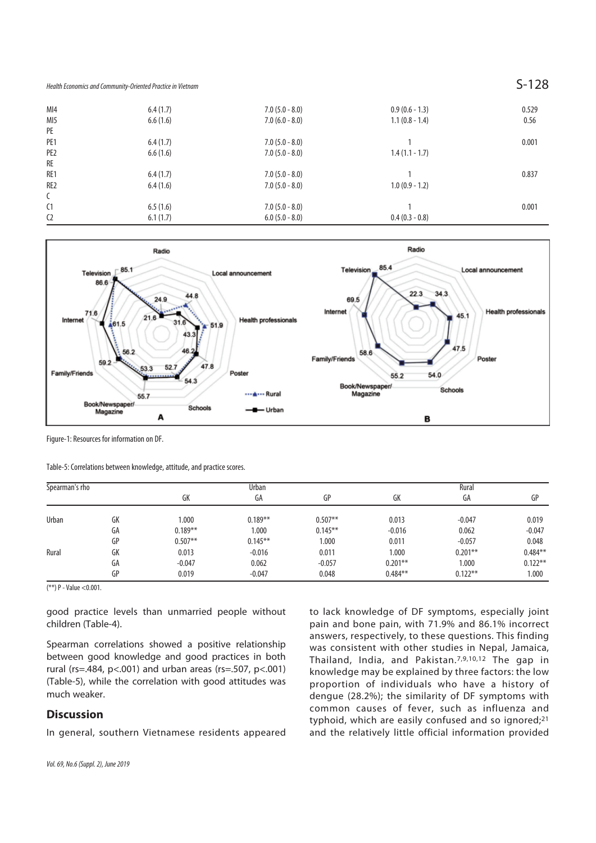| MI4             | 6.4(1.7) | $7.0(5.0 - 8.0)$  | $0.9(0.6 - 1.3)$ | 0.529 |
|-----------------|----------|-------------------|------------------|-------|
| MI5             | 6.6(1.6) | $7.0(6.0 - 8.0)$  | $1.1(0.8 - 1.4)$ | 0.56  |
| PE              |          |                   |                  |       |
| PE <sub>1</sub> | 6.4(1.7) | $7.0(5.0 - 8.0)$  |                  | 0.001 |
| PE <sub>2</sub> | 6.6(1.6) | $7.0(5.0 - 8.0)$  | $1.4(1.1 - 1.7)$ |       |
| RE              |          |                   |                  |       |
| RE1             | 6.4(1.7) | $7.0(5.0 - 8.0)$  |                  | 0.837 |
| RE <sub>2</sub> | 6.4(1.6) | $7.0(5.0 - 8.0)$  | $1.0(0.9 - 1.2)$ |       |
| $\mathsf{C}$    |          |                   |                  |       |
| C <sub>1</sub>  | 6.5(1.6) | $7.0(5.0 - 8.0)$  |                  | 0.001 |
| C <sub>2</sub>  | 6.1(1.7) | $6.0 (5.0 - 8.0)$ | $0.4(0.3 - 0.8)$ |       |
|                 |          |                   |                  |       |



Figure-1: Resources for information on DF.

Table-5: Correlations between knowledge, attitude, and practice scores.

| Spearman's rho |    | Urban      |            |            | Rural      |            |            |
|----------------|----|------------|------------|------------|------------|------------|------------|
|                |    | GK         | GA         | GP         | GK         | GA         | GP         |
| Urban          | GK | 1.000      | $0.189**$  | $0.507**$  | 0.013      | $-0.047$   | 0.019      |
|                | GA | $0.189***$ | 1.000      | $0.145***$ | $-0.016$   | 0.062      | $-0.047$   |
|                | GP | $0.507**$  | $0.145***$ | 1.000      | 0.011      | $-0.057$   | 0.048      |
| Rural          | GK | 0.013      | $-0.016$   | 0.011      | 1.000      | $0.201***$ | $0.484**$  |
|                | GA | $-0.047$   | 0.062      | $-0.057$   | $0.201***$ | 1.000      | $0.122***$ |
|                | GP | 0.019      | $-0.047$   | 0.048      | $0.484**$  | $0.122***$ | 1.000      |

(\*\*) P - Value <0.001.

good practice levels than unmarried people without children (Table-4).

Spearman correlations showed a positive relationship between good knowledge and good practices in both rural (rs=.484, p<.001) and urban areas (rs=.507, p<.001) (Table-5), while the correlation with good attitudes was much weaker.

### **Discussion**

In general, southern Vietnamese residents appeared

to lack knowledge of DF symptoms, especially joint pain and bone pain, with 71.9% and 86.1% incorrect answers, respectively, to these questions. This finding was consistent with other studies in Nepal, Jamaica, Thailand, India, and Pakistan.7,9,10,12 The gap in knowledge may be explained by three factors: the low proportion of individuals who have a history of dengue (28.2%); the similarity of DF symptoms with common causes of fever, such as influenza and typhoid, which are easily confused and so ignored;<sup>21</sup> and the relatively little official information provided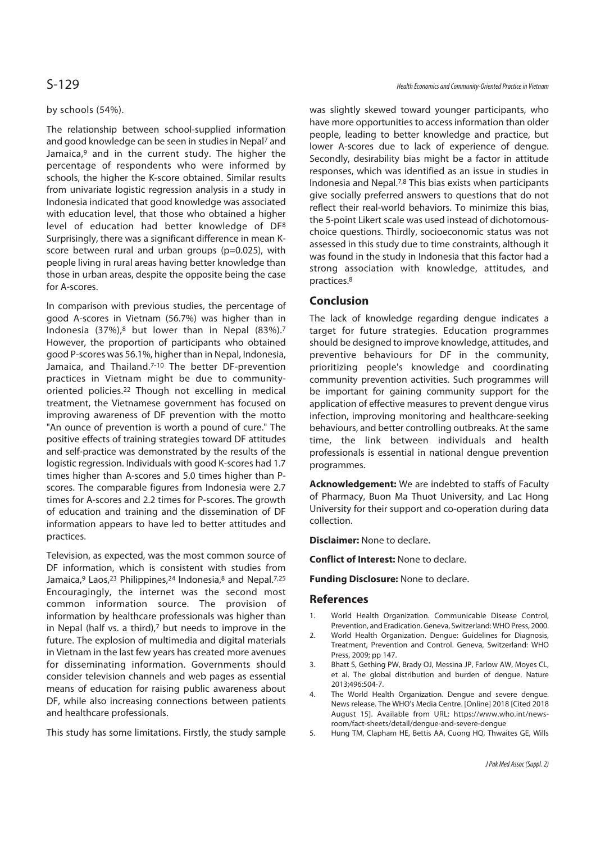### by schools (54%).

The relationship between school-supplied information and good knowledge can be seen in studies in Nepal7 and Jamaica,<sup>9</sup> and in the current study. The higher the percentage of respondents who were informed by schools, the higher the K-score obtained. Similar results from univariate logistic regression analysis in a study in Indonesia indicated that good knowledge was associated with education level, that those who obtained a higher level of education had better knowledge of DF8 Surprisingly, there was a significant difference in mean Kscore between rural and urban groups (p=0.025), with people living in rural areas having better knowledge than those in urban areas, despite the opposite being the case for A-scores.

In comparison with previous studies, the percentage of good A-scores in Vietnam (56.7%) was higher than in Indonesia (37%),8 but lower than in Nepal (83%).7 However, the proportion of participants who obtained good P-scores was 56.1%, higher than in Nepal, Indonesia, Jamaica, and Thailand.<sup>7-10</sup> The better DF-prevention practices in Vietnam might be due to communityoriented policies.22 Though not excelling in medical treatment, the Vietnamese government has focused on improving awareness of DF prevention with the motto "An ounce of prevention is worth a pound of cure." The positive effects of training strategies toward DF attitudes and self-practice was demonstrated by the results of the logistic regression. Individuals with good K-scores had 1.7 times higher than A-scores and 5.0 times higher than Pscores. The comparable figures from Indonesia were 2.7 times for A-scores and 2.2 times for P-scores. The growth of education and training and the dissemination of DF information appears to have led to better attitudes and practices.

Television, as expected, was the most common source of DF information, which is consistent with studies from Jamaica,<sup>9</sup> Laos,<sup>23</sup> Philippines,<sup>24</sup> Indonesia,<sup>8</sup> and Nepal.<sup>7,25</sup> Encouragingly, the internet was the second most common information source. The provision of information by healthcare professionals was higher than in Nepal (half vs. a third), $7$  but needs to improve in the future. The explosion of multimedia and digital materials in Vietnam in the last few years has created more avenues for disseminating information. Governments should consider television channels and web pages as essential means of education for raising public awareness about DF, while also increasing connections between patients and healthcare professionals.

This study has some limitations. Firstly, the study sample

was slightly skewed toward younger participants, who have more opportunities to access information than older people, leading to better knowledge and practice, but lower A-scores due to lack of experience of dengue. Secondly, desirability bias might be a factor in attitude responses, which was identified as an issue in studies in Indonesia and Nepal.7,8 This bias exists when participants give socially preferred answers to questions that do not reflect their real-world behaviors. To minimize this bias, the 5-point Likert scale was used instead of dichotomouschoice questions. Thirdly, socioeconomic status was not assessed in this study due to time constraints, although it was found in the study in Indonesia that this factor had a strong association with knowledge, attitudes, and practices.8

# **Conclusion**

The lack of knowledge regarding dengue indicates a target for future strategies. Education programmes should be designed to improve knowledge, attitudes, and preventive behaviours for DF in the community, prioritizing people's knowledge and coordinating community prevention activities. Such programmes will be important for gaining community support for the application of effective measures to prevent dengue virus infection, improving monitoring and healthcare-seeking behaviours, and better controlling outbreaks. At the same time, the link between individuals and health professionals is essential in national dengue prevention programmes.

**Acknowledgement:** We are indebted to staffs of Faculty of Pharmacy, Buon Ma Thuot University, and Lac Hong University for their support and co-operation during data collection.

**Disclaimer:** None to declare.

**Conflict of Interest:** None to declare.

**Funding Disclosure:** None to declare.

### **References**

- 1. World Health Organization. Communicable Disease Control, Prevention, and Eradication. Geneva, Switzerland: WHO Press, 2000.
- 2. World Health Organization. Dengue: Guidelines for Diagnosis, Treatment, Prevention and Control. Geneva, Switzerland: WHO Press, 2009; pp 147.
- 3. Bhatt S, Gething PW, Brady OJ, Messina JP, Farlow AW, Moyes CL, et al. The global distribution and burden of dengue. Nature 2013;496:504-7.
- 4. The World Health Organization. Dengue and severe dengue. News release. The WHO's Media Centre. [Online] 2018 [Cited 2018 August 15]. Available from URL: https://www.who.int/newsroom/fact-sheets/detail/dengue-and-severe-dengue
- 5. Hung TM, Clapham HE, Bettis AA, Cuong HQ, Thwaites GE, Wills